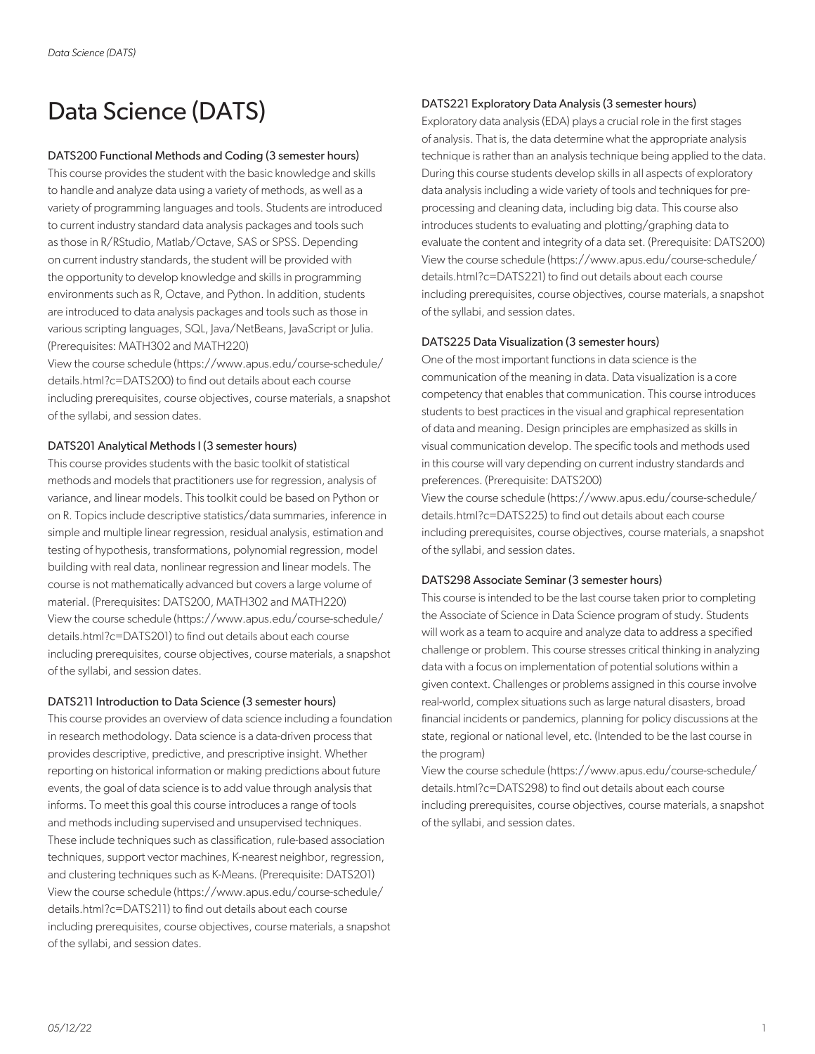# Data Science (DATS)

# DATS200 Functional Methods and Coding (3 semester hours)

This course provides the student with the basic knowledge and skills to handle and analyze data using a variety of methods, as well as a variety of programming languages and tools. Students are introduced to current industry standard data analysis packages and tools such as those in R/RStudio, Matlab/Octave, SAS or SPSS. Depending on current industry standards, the student will be provided with the opportunity to develop knowledge and skills in programming environments such as R, Octave, and Python. In addition, students are introduced to data analysis packages and tools such as those in various scripting languages, SQL, Java/NetBeans, JavaScript or Julia. (Prerequisites: MATH302 and MATH220)

View the course schedule (https://www.apus.edu/course-schedule/ details.html?c=DATS200) to find out details about each course including prerequisites, course objectives, course materials, a snapshot of the syllabi, and session dates.

# DATS201 Analytical Methods I (3 semester hours)

This course provides students with the basic toolkit of statistical methods and models that practitioners use for regression, analysis of variance, and linear models. This toolkit could be based on Python or on R. Topics include descriptive statistics/data summaries, inference in simple and multiple linear regression, residual analysis, estimation and testing of hypothesis, transformations, polynomial regression, model building with real data, nonlinear regression and linear models. The course is not mathematically advanced but covers a large volume of material. (Prerequisites: DATS200, MATH302 and MATH220) View the course schedule (https://www.apus.edu/course-schedule/ details.html?c=DATS201) to find out details about each course including prerequisites, course objectives, course materials, a snapshot of the syllabi, and session dates.

## DATS211 Introduction to Data Science (3 semester hours)

This course provides an overview of data science including a foundation in research methodology. Data science is a data-driven process that provides descriptive, predictive, and prescriptive insight. Whether reporting on historical information or making predictions about future events, the goal of data science is to add value through analysis that informs. To meet this goal this course introduces a range of tools and methods including supervised and unsupervised techniques. These include techniques such as classification, rule-based association techniques, support vector machines, K-nearest neighbor, regression, and clustering techniques such as K-Means. (Prerequisite: DATS201) View the course schedule (https://www.apus.edu/course-schedule/ details.html?c=DATS211) to find out details about each course including prerequisites, course objectives, course materials, a snapshot of the syllabi, and session dates.

# DATS221 Exploratory Data Analysis (3 semester hours)

Exploratory data analysis (EDA) plays a crucial role in the first stages of analysis. That is, the data determine what the appropriate analysis technique is rather than an analysis technique being applied to the data. During this course students develop skills in all aspects of exploratory data analysis including a wide variety of tools and techniques for preprocessing and cleaning data, including big data. This course also introduces students to evaluating and plotting/graphing data to evaluate the content and integrity of a data set. (Prerequisite: DATS200) View the course schedule (https://www.apus.edu/course-schedule/ details.html?c=DATS221) to find out details about each course including prerequisites, course objectives, course materials, a snapshot of the syllabi, and session dates.

# DATS225 Data Visualization (3 semester hours)

One of the most important functions in data science is the communication of the meaning in data. Data visualization is a core competency that enables that communication. This course introduces students to best practices in the visual and graphical representation of data and meaning. Design principles are emphasized as skills in visual communication develop. The specific tools and methods used in this course will vary depending on current industry standards and preferences. (Prerequisite: DATS200)

View the course schedule (https://www.apus.edu/course-schedule/ details.html?c=DATS225) to find out details about each course including prerequisites, course objectives, course materials, a snapshot of the syllabi, and session dates.

## DATS298 Associate Seminar (3 semester hours)

This course is intended to be the last course taken prior to completing the Associate of Science in Data Science program of study. Students will work as a team to acquire and analyze data to address a specified challenge or problem. This course stresses critical thinking in analyzing data with a focus on implementation of potential solutions within a given context. Challenges or problems assigned in this course involve real-world, complex situations such as large natural disasters, broad financial incidents or pandemics, planning for policy discussions at the state, regional or national level, etc. (Intended to be the last course in the program)

View the course schedule (https://www.apus.edu/course-schedule/ details.html?c=DATS298) to find out details about each course including prerequisites, course objectives, course materials, a snapshot of the syllabi, and session dates.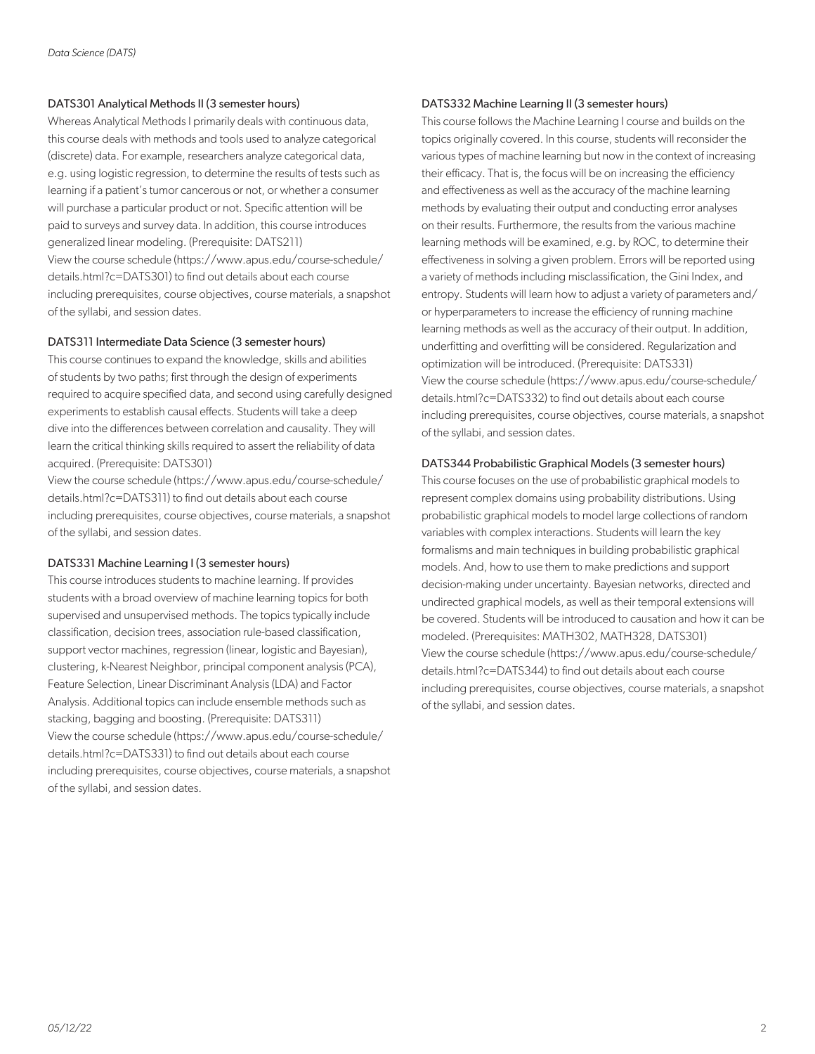## DATS301 Analytical Methods II (3 semester hours)

Whereas Analytical Methods I primarily deals with continuous data, this course deals with methods and tools used to analyze categorical (discrete) data. For example, researchers analyze categorical data, e.g. using logistic regression, to determine the results of tests such as learning if a patient's tumor cancerous or not, or whether a consumer will purchase a particular product or not. Specific attention will be paid to surveys and survey data. In addition, this course introduces generalized linear modeling. (Prerequisite: DATS211) View the course schedule (https://www.apus.edu/course-schedule/ details.html?c=DATS301) to find out details about each course including prerequisites, course objectives, course materials, a snapshot of the syllabi, and session dates.

# DATS311 Intermediate Data Science (3 semester hours)

This course continues to expand the knowledge, skills and abilities of students by two paths; first through the design of experiments required to acquire specified data, and second using carefully designed experiments to establish causal effects. Students will take a deep dive into the differences between correlation and causality. They will learn the critical thinking skills required to assert the reliability of data acquired. (Prerequisite: DATS301)

View the course schedule (https://www.apus.edu/course-schedule/ details.html?c=DATS311) to find out details about each course including prerequisites, course objectives, course materials, a snapshot of the syllabi, and session dates.

## DATS331 Machine Learning I (3 semester hours)

This course introduces students to machine learning. If provides students with a broad overview of machine learning topics for both supervised and unsupervised methods. The topics typically include classification, decision trees, association rule-based classification, support vector machines, regression (linear, logistic and Bayesian), clustering, k-Nearest Neighbor, principal component analysis (PCA), Feature Selection, Linear Discriminant Analysis (LDA) and Factor Analysis. Additional topics can include ensemble methods such as stacking, bagging and boosting. (Prerequisite: DATS311) View the course schedule (https://www.apus.edu/course-schedule/ details.html?c=DATS331) to find out details about each course including prerequisites, course objectives, course materials, a snapshot of the syllabi, and session dates.

## DATS332 Machine Learning II (3 semester hours)

This course follows the Machine Learning I course and builds on the topics originally covered. In this course, students will reconsider the various types of machine learning but now in the context of increasing their efficacy. That is, the focus will be on increasing the efficiency and effectiveness as well as the accuracy of the machine learning methods by evaluating their output and conducting error analyses on their results. Furthermore, the results from the various machine learning methods will be examined, e.g. by ROC, to determine their effectiveness in solving a given problem. Errors will be reported using a variety of methods including misclassification, the Gini Index, and entropy. Students will learn how to adjust a variety of parameters and/ or hyperparameters to increase the efficiency of running machine learning methods as well as the accuracy of their output. In addition, underfitting and overfitting will be considered. Regularization and optimization will be introduced. (Prerequisite: DATS331) View the course schedule (https://www.apus.edu/course-schedule/ details.html?c=DATS332) to find out details about each course including prerequisites, course objectives, course materials, a snapshot of the syllabi, and session dates.

# DATS344 Probabilistic Graphical Models (3 semester hours)

This course focuses on the use of probabilistic graphical models to represent complex domains using probability distributions. Using probabilistic graphical models to model large collections of random variables with complex interactions. Students will learn the key formalisms and main techniques in building probabilistic graphical models. And, how to use them to make predictions and support decision-making under uncertainty. Bayesian networks, directed and undirected graphical models, as well as their temporal extensions will be covered. Students will be introduced to causation and how it can be modeled. (Prerequisites: MATH302, MATH328, DATS301) View the course schedule (https://www.apus.edu/course-schedule/ details.html?c=DATS344) to find out details about each course including prerequisites, course objectives, course materials, a snapshot of the syllabi, and session dates.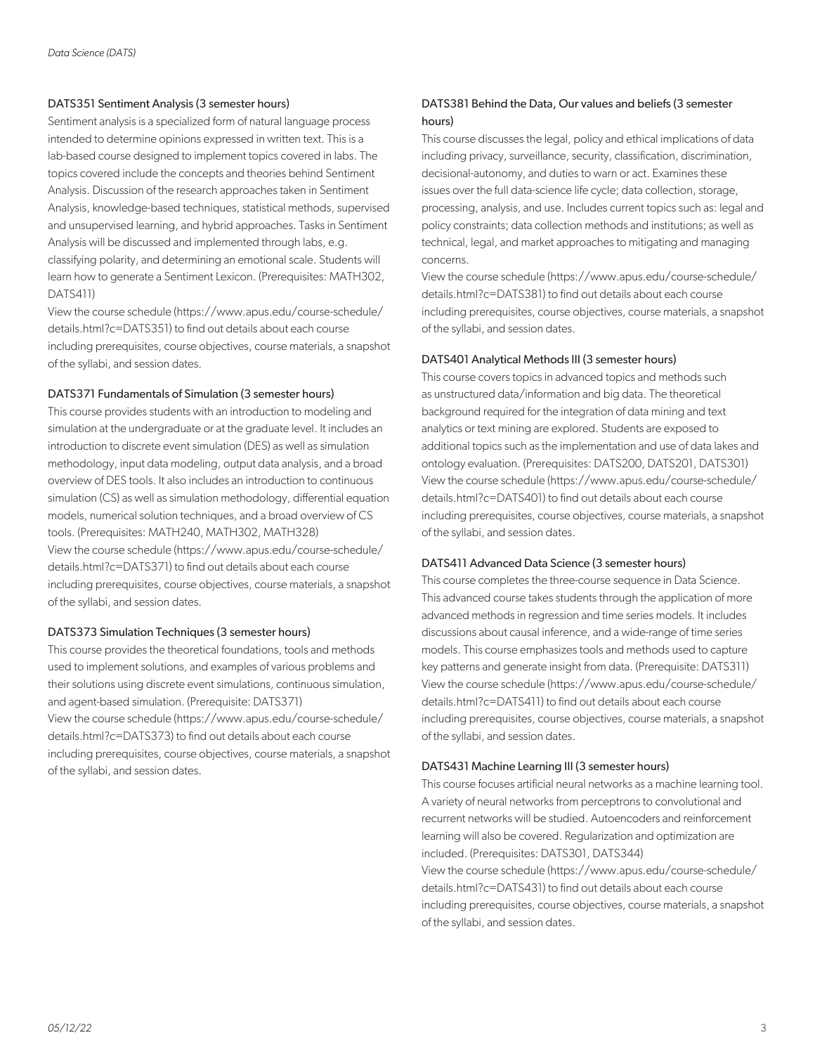## DATS351 Sentiment Analysis (3 semester hours)

Sentiment analysis is a specialized form of natural language process intended to determine opinions expressed in written text. This is a lab-based course designed to implement topics covered in labs. The topics covered include the concepts and theories behind Sentiment Analysis. Discussion of the research approaches taken in Sentiment Analysis, knowledge-based techniques, statistical methods, supervised and unsupervised learning, and hybrid approaches. Tasks in Sentiment Analysis will be discussed and implemented through labs, e.g. classifying polarity, and determining an emotional scale. Students will learn how to generate a Sentiment Lexicon. (Prerequisites: MATH302, DATS411)

View the course schedule (https://www.apus.edu/course-schedule/ details.html?c=DATS351) to find out details about each course including prerequisites, course objectives, course materials, a snapshot of the syllabi, and session dates.

# DATS371 Fundamentals of Simulation (3 semester hours)

This course provides students with an introduction to modeling and simulation at the undergraduate or at the graduate level. It includes an introduction to discrete event simulation (DES) as well as simulation methodology, input data modeling, output data analysis, and a broad overview of DES tools. It also includes an introduction to continuous simulation (CS) as well as simulation methodology, differential equation models, numerical solution techniques, and a broad overview of CS tools. (Prerequisites: MATH240, MATH302, MATH328) View the course schedule (https://www.apus.edu/course-schedule/ details.html?c=DATS371) to find out details about each course including prerequisites, course objectives, course materials, a snapshot of the syllabi, and session dates.

## DATS373 Simulation Techniques (3 semester hours)

This course provides the theoretical foundations, tools and methods used to implement solutions, and examples of various problems and their solutions using discrete event simulations, continuous simulation, and agent-based simulation. (Prerequisite: DATS371) View the course schedule (https://www.apus.edu/course-schedule/ details.html?c=DATS373) to find out details about each course including prerequisites, course objectives, course materials, a snapshot of the syllabi, and session dates.

# DATS381 Behind the Data, Our values and beliefs (3 semester hours)

This course discusses the legal, policy and ethical implications of data including privacy, surveillance, security, classification, discrimination, decisional-autonomy, and duties to warn or act. Examines these issues over the full data-science life cycle; data collection, storage, processing, analysis, and use. Includes current topics such as: legal and policy constraints; data collection methods and institutions; as well as technical, legal, and market approaches to mitigating and managing concerns.

View the course schedule (https://www.apus.edu/course-schedule/ details.html?c=DATS381) to find out details about each course including prerequisites, course objectives, course materials, a snapshot of the syllabi, and session dates.

# DATS401 Analytical Methods III (3 semester hours)

This course covers topics in advanced topics and methods such as unstructured data/information and big data. The theoretical background required for the integration of data mining and text analytics or text mining are explored. Students are exposed to additional topics such as the implementation and use of data lakes and ontology evaluation. (Prerequisites: DATS200, DATS201, DATS301) View the course schedule (https://www.apus.edu/course-schedule/ details.html?c=DATS401) to find out details about each course including prerequisites, course objectives, course materials, a snapshot of the syllabi, and session dates.

# DATS411 Advanced Data Science (3 semester hours)

This course completes the three-course sequence in Data Science. This advanced course takes students through the application of more advanced methods in regression and time series models. It includes discussions about causal inference, and a wide-range of time series models. This course emphasizes tools and methods used to capture key patterns and generate insight from data. (Prerequisite: DATS311) View the course schedule (https://www.apus.edu/course-schedule/ details.html?c=DATS411) to find out details about each course including prerequisites, course objectives, course materials, a snapshot of the syllabi, and session dates.

## DATS431 Machine Learning III (3 semester hours)

This course focuses artificial neural networks as a machine learning tool. A variety of neural networks from perceptrons to convolutional and recurrent networks will be studied. Autoencoders and reinforcement learning will also be covered. Regularization and optimization are included. (Prerequisites: DATS301, DATS344) View the course schedule (https://www.apus.edu/course-schedule/ details.html?c=DATS431) to find out details about each course including prerequisites, course objectives, course materials, a snapshot of the syllabi, and session dates.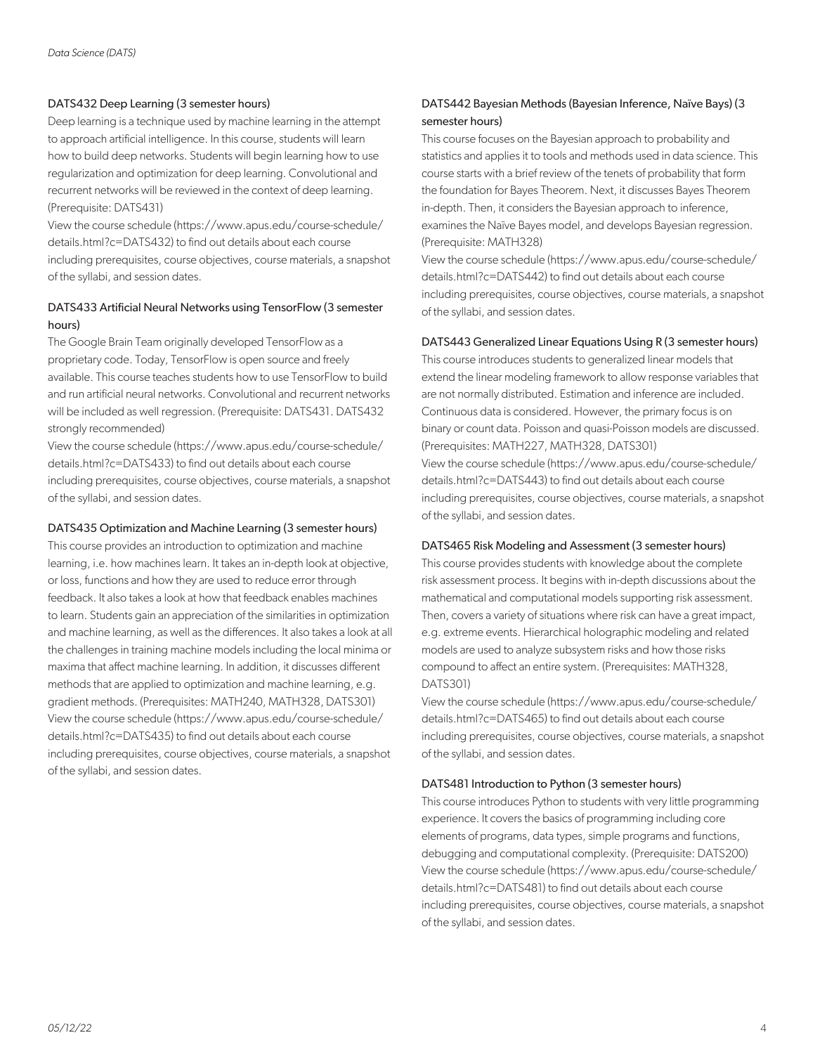# DATS432 Deep Learning (3 semester hours)

Deep learning is a technique used by machine learning in the attempt to approach artificial intelligence. In this course, students will learn how to build deep networks. Students will begin learning how to use regularization and optimization for deep learning. Convolutional and recurrent networks will be reviewed in the context of deep learning. (Prerequisite: DATS431)

View the course schedule (https://www.apus.edu/course-schedule/ details.html?c=DATS432) to find out details about each course including prerequisites, course objectives, course materials, a snapshot of the syllabi, and session dates.

# DATS433 Artificial Neural Networks using TensorFlow (3 semester hours)

The Google Brain Team originally developed TensorFlow as a proprietary code. Today, TensorFlow is open source and freely available. This course teaches students how to use TensorFlow to build and run artificial neural networks. Convolutional and recurrent networks will be included as well regression. (Prerequisite: DATS431. DATS432 strongly recommended)

View the course schedule (https://www.apus.edu/course-schedule/ details.html?c=DATS433) to find out details about each course including prerequisites, course objectives, course materials, a snapshot of the syllabi, and session dates.

## DATS435 Optimization and Machine Learning (3 semester hours)

This course provides an introduction to optimization and machine learning, i.e. how machines learn. It takes an in-depth look at objective, or loss, functions and how they are used to reduce error through feedback. It also takes a look at how that feedback enables machines to learn. Students gain an appreciation of the similarities in optimization and machine learning, as well as the differences. It also takes a look at all the challenges in training machine models including the local minima or maxima that affect machine learning. In addition, it discusses different methods that are applied to optimization and machine learning, e.g. gradient methods. (Prerequisites: MATH240, MATH328, DATS301) View the course schedule (https://www.apus.edu/course-schedule/ details.html?c=DATS435) to find out details about each course including prerequisites, course objectives, course materials, a snapshot of the syllabi, and session dates.

# DATS442 Bayesian Methods (Bayesian Inference, Naïve Bays) (3 semester hours)

This course focuses on the Bayesian approach to probability and statistics and applies it to tools and methods used in data science. This course starts with a brief review of the tenets of probability that form the foundation for Bayes Theorem. Next, it discusses Bayes Theorem in-depth. Then, it considers the Bayesian approach to inference, examines the Naïve Bayes model, and develops Bayesian regression. (Prerequisite: MATH328)

View the course schedule (https://www.apus.edu/course-schedule/ details.html?c=DATS442) to find out details about each course including prerequisites, course objectives, course materials, a snapshot of the syllabi, and session dates.

# DATS443 Generalized Linear Equations Using R (3 semester hours)

This course introduces students to generalized linear models that extend the linear modeling framework to allow response variables that are not normally distributed. Estimation and inference are included. Continuous data is considered. However, the primary focus is on binary or count data. Poisson and quasi-Poisson models are discussed. (Prerequisites: MATH227, MATH328, DATS301) View the course schedule (https://www.apus.edu/course-schedule/ details.html?c=DATS443) to find out details about each course including prerequisites, course objectives, course materials, a snapshot of the syllabi, and session dates.

## DATS465 Risk Modeling and Assessment (3 semester hours)

This course provides students with knowledge about the complete risk assessment process. It begins with in-depth discussions about the mathematical and computational models supporting risk assessment. Then, covers a variety of situations where risk can have a great impact, e.g. extreme events. Hierarchical holographic modeling and related models are used to analyze subsystem risks and how those risks compound to affect an entire system. (Prerequisites: MATH328, DATS301)

View the course schedule (https://www.apus.edu/course-schedule/ details.html?c=DATS465) to find out details about each course including prerequisites, course objectives, course materials, a snapshot of the syllabi, and session dates.

## DATS481 Introduction to Python (3 semester hours)

This course introduces Python to students with very little programming experience. It covers the basics of programming including core elements of programs, data types, simple programs and functions, debugging and computational complexity. (Prerequisite: DATS200) View the course schedule (https://www.apus.edu/course-schedule/ details.html?c=DATS481) to find out details about each course including prerequisites, course objectives, course materials, a snapshot of the syllabi, and session dates.